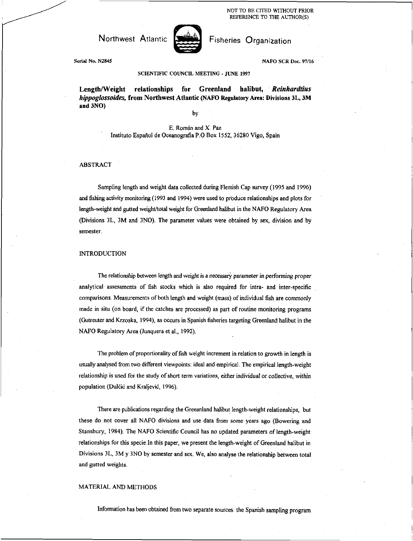NOT TO BE CITED WITHOUT PRIOR REFERENCE TO THE AUTHOR(S)

# Northwest Atlantic **North Access** Fisheries Organization



Serial No. N2845 NAFO SCR Doc. 97/16

## SCIENTIFIC COUNCIL MEETING • JUNE 1997

Length/Weight relationships for Greenland halibut, *Reinhardtius hippoglossoides,* from Northwest Atlantic **(NAFO Regulatory Area:** Divisions **3L, 3M and 3NO)** 

by

## E. Roman and X. Paz Instituto Espafiol de Oceanografia P.O Box 1552 36280 Vigo, Spain

#### ABSTRACT

Sampling length and weight data collected during Flemish Cap survey (1995 and 1996) and fishing activity monitoring (1993 and 1994) were used to produce relationships and plots for length-weight and gutted weight/total weight for Greenland halibut in the NAFO Regulatory Area (Divisions 3L, 3M and 3N0). The parameter values were obtained by sex, division and by semester.

#### **INTRODUCTION**

The relationship between length and weight is a *necessary parameter in performing proper*  analytical assessments of fish stocks which is also required for intra- and inter-specific comparisons. Measurements of both length and weight (mass) of individual fish are commonly made in situ (on board, if the catches are processed) as part of routine monitoring programs (Gutreuter and Krzoska, 1994), as occurs in Spanish fisheries targeting Greenland halibut in the NAFO Regulatory Area (Junquera et al., 1992).

The problem of proportionality of fish weight increment in relation to growth in length is usually analysed from two different viewpoints: ideal and empirical. The empirical length-weight relationship is used for the study of short term variations, either individual or collective, within population (Dulčić and Kraljević, 1996).

There are publications regarding the Greeanland halibut length-weight relationships, but these do not cover all NAFO divisions and use data from some years ago (Bowering and Stansbury, 1984). The NAFO Scientific Council has no updated parameters of length-weight relationships for this specie.In this paper, we present the length-weight of Greenland halibut in Divisions 3L, 3M y 3N0 by semester and sex. We, also analyse the relationship between total and gutted weights.

#### MATERIAL AND METHODS

Information has been obtained from two separate sources: the Spanish sampling program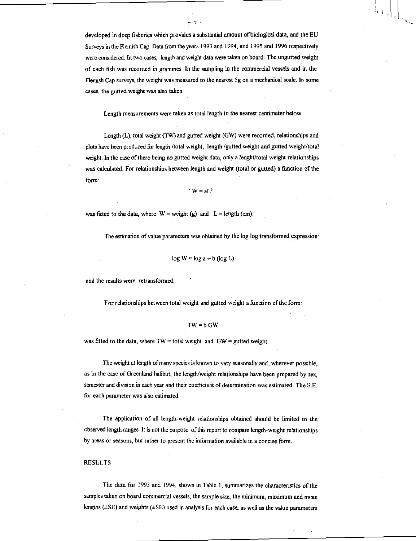developed in deep fisheries which provides a substantial amount of biological data, and the EU Surveys in the Flemish Cap. Data from the years 1993 and 1994, and 1995 and 1996 respectively were considered. In two cases, length and weight data were taken on board. The ungutted weight of each fish was recorded in grammes. In the sampling in the commercial vessels and in the Flemish Cap surveys, the weight was measured to the nearest 5g on a mechanical scale. In some cases, the gutted weight was also taken.

-2.

Length measurements were taken as total length to the nearest centimeter below.

Length (L), total weight (TW) and gutted weight (GW) were recorded, relationships and plots have been produced for length /total weight, length /gutted weight and gutted weight/total weight. In the case of there being no gutted weight data, only a lenght/total weight relationships was calculated. For relationships between length and weight (total or gutted) a function of the form:

 $W = aL^b$ 

was fitted to the data, where  $W = weight(g)$  and  $L = length (cm)$ .

The estimation of value parameters was obtained by the log log transformed expression:

$$
\log W = \log a + b \left( \log L \right)
$$

and the results were retransfonned.

For relationships between total weight and gutted weight a function of the form:

### $TW = b$  GW

was fitted to the data, where  $TW =$  total weight and  $GW =$  gutted weight.

The weight at length of many species is known to vary seasonally and, wherever possible, as in the case of Greenland halibut, the length/weight relationships have been prepared by sex, semester and division in each year and their coefficient of determination was estimated. The S.E. for each parameter was also estimated.

The application of all length-weight relationships obtained should be limited to the observed length ranges. It is not the purpose of this report to compare length-weight relationships by areas or seasons, but rather to present the information available in a concise form.

#### RESULTS

The data for 1993 and 1994, shown in Table 1, summarizes the characteristics of the samples taken on board commercial vessels, the sample size, the minimum, maximum and mean lengths (±SE) and weights (±SE) used in analysis for each case, as well as the value parameters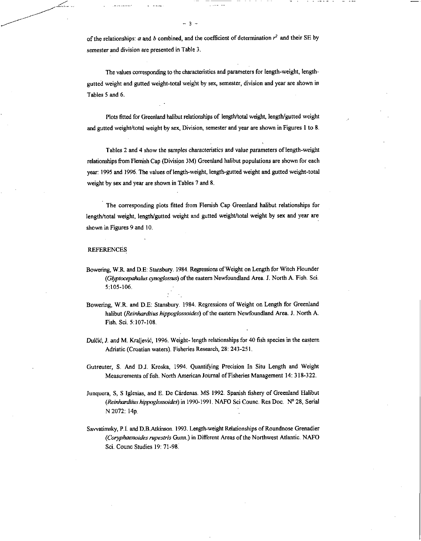of the relationships:  $a$  and  $b$  combined, and the coefficient of determination  $r^2$  and their SE by semester and division are presented in Table 3.

 $3 -$ 

The values corresponding to the characteristics and parameters for length-weight, lengthgutted weight and gutted weight-total weight by sex, semester, division and year are shown in Tables 5 and 6.

Plots fitted for Greenland halibut relationships of length/total weight, length/gutted weight and gutted weight/total weight by sex, Division, semester and year are shown in Figures 1 to 8.

Tables 2 and 4 show the samples *characteristics and value* parameters of length-weight relationships from Flemish Cap (Division 3M) Greenland halibut populations are shown for each year: 1995 and 1996. The values of length-weight, length-gutted weight and gutted weight-total weight by sex and year are shown in Tables 7 and 8.

The corresponding plots fitted from Flemish Cap Greenland halibut relationships for length/total weight, length/gutted weight and gutted weight/total weight by sex and year are shown in Figures 9 and 10.

#### REFERENCES

Bowering, W.R. and D.E: Stansbury. 1984. Regressions of Weight on Length for Witch Flounder *(Gyptocepahalus cynoglossus)* of the eastern Newfoundland Area. J. North A. Fish. Sci. 5:105-106.

Bowering, W.R. and D.E: Stansbury. 1984. Regressions of Weight on Length for Greenland halibut *(Reinhardtius hippoglossoides)* of the eastern Newfoundland Area. J. North A. Fish. Sci. 5:107-108.

*Dulčić*, J. and M. Kraljević, 1996. Weight- length relationships for 40 fish species in the eastern Adriatic (Croatian waters). Fisheries Research, 28: 243-251.

Gutreuter, S. And D.J. Kroska, 1994. Quantifying Precision In Situ Length and Weight Measurements of fish. North American Journal of Fisheries Management 14: 318-322.

- Junquera, S, S Iglesias, and E. De Cardenas. MS 1992. Spanish fishery of Greenland Halibut *(Reinhardtius hippoglossoides)* in 1990-1991. NAFO Sci Counc. Res Doc. N° 28, Serial N 2072: 14p.
- Sawatimsky, P.I. and D.B.Atkinson. 1993. Length-weight Relationships of Roundnose Grenadier *(Coryphaenoides rupestris* Gunn.) in Different Areas of the Northwest Atlantic. NAFO Sci. Counc Studies 19: 71-98.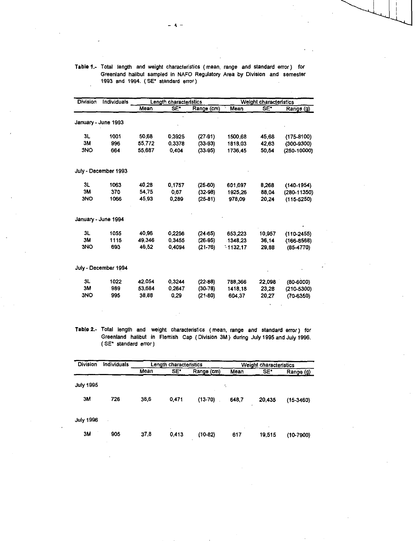| Division   | Individuals          |        | Length characteristics |            | Weight characteristics |        |                |  |
|------------|----------------------|--------|------------------------|------------|------------------------|--------|----------------|--|
|            |                      | Mean   | SË <sup>T</sup>        | Range (cm) | Mean                   | SE*    | Range (g)      |  |
|            | January - June 1993  |        |                        |            |                        |        |                |  |
| 3L         | 1001                 | 50,68  | 0,3925                 | $(27-91)$  | 1500,68                | 45,68  | $(175-8100)$   |  |
| 3M         | 996                  | 55.772 | 0.3378                 | $(33-93)$  | 1818,03                | 42.63  | $(300-9300)$   |  |
| 3NO        | 664                  | 55 687 | 0.404                  | $(33-95)$  | 1736.45                | 50.54  | (250-10000)    |  |
|            | July - December 1993 |        |                        |            |                        |        |                |  |
| 3L         | 1063                 | 40,28  | 0,1757                 | $(25-60)$  | 601,697                | 8.268  | $(140-1954)$   |  |
| <b>3M</b>  | 370                  | 54,75  | 0.67                   | $(32-98)$  | 1925.26                | 88,04  | (280-11350)    |  |
| <b>3NO</b> | 1066                 | 45,93  | 0.289                  | $(25-81)$  | 978,09                 | 20.24  | $(115 - 5250)$ |  |
|            | January - June 1994  |        |                        |            |                        |        |                |  |
| 3L         | 1055                 | 40,96  | 0.2256                 | $(24-65)$  | 653,223                | 10.957 | $(110-2455)$   |  |
| 3M         | 1115                 | 49 346 | 0,3455                 | $(26-95)$  | 1348,23                | 36,14  | $(166-8568)$   |  |
| 3NO        | 693                  | 46,52  | 0.4094                 | $(21-76)$  | $-1132.17$             | 29,88  | (85-4770)      |  |
|            | July - December 1994 |        |                        |            |                        |        |                |  |
| 3L         | 1022                 | 42 054 | 0.3244                 | $(22-88)$  | 788,366                | 22,098 | $(80-6000)$    |  |
| 3M         | 989                  | 53,684 | 0,2647                 | $(30-78)$  | 1418,18                | 23,28  | $(210 - 5300)$ |  |
| 3NO        | 995                  | 38,88  | 0.29                   | $(21-80)$  | 604.37                 | 20,27  | $(70-6350)$    |  |

**Table 1.-** Total length and weight characteristics ( mean, range and standard error ) for Greenland halibut sampled in NAFO Regulatory Area by Division and semester 1993 and 1994. (SE' standard error)

**Table 2.-** Total length and weight characteristics ( mean, range *and* standard error ) for Greenland halibut in Flemish Cap ( Division 3M) during July 1995 and July 1996. (SE' standard error)

| Division         | Individuals |      | Length characteristics |            | Weight characteristics |        |             |  |
|------------------|-------------|------|------------------------|------------|------------------------|--------|-------------|--|
|                  |             | Mean | SE*                    | Range (cm) | Mean                   | SE*    | Range (g)   |  |
| <b>July 1995</b> |             |      |                        |            | ÷.                     |        |             |  |
| 3M               | 726         | 38,6 | 0.471                  | $(13-70)$  | 648.7                  | 20,435 | $(15-3460)$ |  |
| <b>July 1996</b> |             |      |                        |            |                        | ٠      |             |  |
| 3M               | 905         | 37,8 | 0.413                  | $(10-82)$  | ٠<br>617               | 19,515 | $(10-7900)$ |  |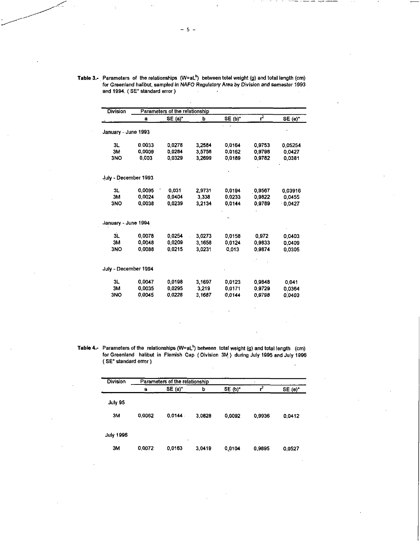Table 3.- Parameters of the relationships (W=aL<sup>b</sup>) between total weight (g) and total length (cm) for Greenland halibut, sampled *in NAFO Regulatory Area by Division and semester* 1993 and 1994. ( SE' standard error )  $\mathcal{L}$ 

| <b>Division</b>      |        | Parameters of the relationship |        |           |        |         |
|----------------------|--------|--------------------------------|--------|-----------|--------|---------|
|                      | a      | SE (a)"                        | b      | $SE(b)^*$ | $r^2$  | SE(e)   |
| January - June 1993  |        |                                |        |           |        |         |
| 3L                   | 0.0033 | 0.0278                         | 3,2584 | 0.0164    | 0,9753 | 0.05254 |
| 3M                   | 0,0009 | 0.0284                         | 3.5756 | 0,0162    | 0.9798 | 0,0427  |
| 3NO                  | 0,003  | 0.0329                         | 3.2699 | 0,0189    | 0.9782 | 0,0381  |
| July - December 1993 |        |                                |        |           |        |         |
| 3L                   | 0,0095 | 0,031                          | 2.9731 | 0,0194    | 0.9567 | 0.03916 |
| 3M                   | 0.0024 | 0.0404                         | 3.338  | 0,0233    | 0.9822 | 0.0455  |
| 3NO                  | 0.0038 | 0.0239                         | 3.2134 | 0,0144    | 0,9789 | 0.0427  |
| January - June 1994  |        |                                |        |           |        |         |
| 3L                   | 0,0078 | 0.0254                         | 3.0273 | 0,0158    | 0.972  | 0.0403  |
| 3M                   | 0.0048 | 0.0209                         | 3.1658 | 0.0124    | 0,9833 | 0,0409  |
| 3NO                  | 0,0088 | 0.0215                         | 3.0231 | 0,013     | 0,9874 | 0.0305  |
| July - December 1994 |        |                                |        |           |        |         |
| 3L                   | 0.0047 | 0.0198                         | 3.1697 | 0.0123    | 0.9848 | 0.041   |
| 3M                   | 0,0035 | 0.0295                         | 3,219  | 0,0171    | 0,9729 | 0.0364  |
| 3NO                  | 0.0045 | 0.0228                         | 3.1687 | 0.0144    | 0.9798 | 0.0403  |

Table 4.**-** Parameters of the relationships (W=aL<sup>b</sup>) between total weight (g) and total length (cm) for Greenland halibut in Flemish Cap ( Division 3M) during July 1995 and July 1996 ( SE\* standard error )

| <b>Division</b>  | Parameters of the relationship |         |        |         |        |        |  |  |  |  |  |
|------------------|--------------------------------|---------|--------|---------|--------|--------|--|--|--|--|--|
|                  | a                              | SE(a)   | ь      | SE (b)* |        | SE (e) |  |  |  |  |  |
| <b>July 95</b>   |                                |         | ٠      |         |        |        |  |  |  |  |  |
| 3M               | 0,0062                         | 0.0144. | 3,0828 | 0,0092  | 0,9936 | 0,0412 |  |  |  |  |  |
| <b>July 1996</b> |                                |         |        |         |        |        |  |  |  |  |  |
| 3M               | 0.0072                         | 0,0163  | 3.0419 | 0,0104  | 0,9895 | 0.0527 |  |  |  |  |  |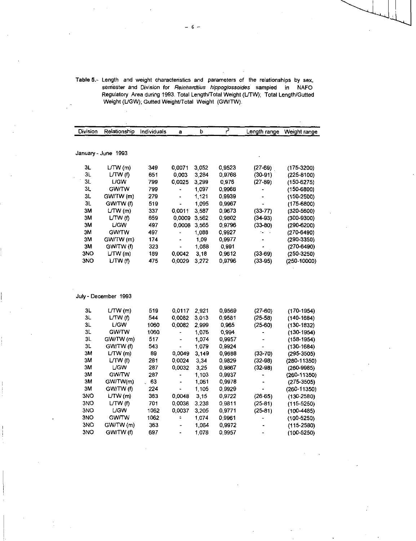| Table 5.- Length and weight characteristics and parameters of the relationships by sex.<br>semester and Division for Reinhardtius hippoglossoides sampled<br>in.<br><b>NAFO</b><br>Regulatory Area during 1993. Total Length/Total Weight (L/TW); Total Length/Gutted<br>Weight (L/GW); Gutted Weight/Total Weight (GW/TW). |
|-----------------------------------------------------------------------------------------------------------------------------------------------------------------------------------------------------------------------------------------------------------------------------------------------------------------------------|
|                                                                                                                                                                                                                                                                                                                             |

| <b>Division</b> | Relationship        | Individuals | a                        | b.    | 2      | Length range  | Weight range    |
|-----------------|---------------------|-------------|--------------------------|-------|--------|---------------|-----------------|
|                 | January - June 1993 |             |                          |       |        |               |                 |
| 3L              | LTW(m)              | 349         | 0,0071                   | 3,052 | 0,9523 | $(27-69)$     | $(175-3200)$    |
| 3L              | L/TW (f)            | 651         | 0.003                    | 3,284 | 0,9768 | $(30-91)$     | $(225-8100)$    |
| 3L              | <b>LGW</b>          | 799         | 0,0025                   | 3,299 | 0,976  | $(27-89)$     | $(150 - 6275)$  |
| 3L              | <b>GW/TW</b>        | 799         | $\overline{\phantom{a}}$ | 1,097 | 0,9968 |               | $(150 - 6800)$  |
| 3L              | GW/TW (m)           | 279         | $\blacksquare$           | 1,121 | 0,9939 |               | $(150-2500)$    |
| 3L              | GW/TW (f)           | 519         |                          | 1,095 | 0,9967 |               | $(175 - 6800)$  |
| 3M              | LTW(m)              | 337         | 0,0011                   | 3,587 | 0,9673 | $(33 - 77)$   | $(320 - 5600)$  |
| 3M              | LTW(f)              | 659         | 0.0009                   | 3,562 | 0,9802 | $(34-93)$     | $(300 - 9300)$  |
| ЗM              | <b>LGW</b>          | 497         | 0.0008                   | 3,565 | 0,9796 | $(33-80)$     | $(290 - 6200)$  |
| ЗM              | <b>GW/TW</b>        | 497         |                          | 1,088 | 0,9927 | $\sim$ $\sim$ | $(270 - 6490)$  |
| ЗM              | GW/TW (m)           | 174         | $\blacksquare$           | 1,09  | 0,9977 |               | $(290 - 3350)$  |
| 3M              | GW/TW (f)           | 323         |                          | 1,088 | 0,991  | ٠             | $(270 - 6490)$  |
| 3NO             | LTW(m)              | 189         | 0,0042                   | 3,18  | 0,9612 | $(33-69)$     | $(250-3250)$    |
| 3NO             | LTW(f)              | 475         | 0,0029                   | 3,272 | 0,9796 | $(33-95)$     | $(250 - 10000)$ |

 $\frac{1}{2}$ 

 $\label{eq:2.1} \frac{1}{\sqrt{2}}\int_{\mathbb{R}^3}\frac{1}{\sqrt{2}}\left(\frac{1}{\sqrt{2}}\right)^2\frac{1}{\sqrt{2}}\left(\frac{1}{\sqrt{2}}\right)^2\frac{1}{\sqrt{2}}\left(\frac{1}{\sqrt{2}}\right)^2.$ 

| July - December 1993 |  |
|----------------------|--|

 $\label{eq:2.1} \frac{1}{\sqrt{2\pi}}\int_{\mathbb{R}^3}\frac{1}{\sqrt{2\pi}}\int_{\mathbb{R}^3}\frac{1}{\sqrt{2\pi}}\int_{\mathbb{R}^3}\frac{1}{\sqrt{2\pi}}\int_{\mathbb{R}^3}\frac{1}{\sqrt{2\pi}}\int_{\mathbb{R}^3}\frac{1}{\sqrt{2\pi}}\int_{\mathbb{R}^3}\frac{1}{\sqrt{2\pi}}\int_{\mathbb{R}^3}\frac{1}{\sqrt{2\pi}}\int_{\mathbb{R}^3}\frac{1}{\sqrt{2\pi}}\int_{\mathbb{R}^3}\frac{1$ 

 $\label{eq:2.1} \frac{1}{\sqrt{2}}\int_{0}^{\infty}\frac{1}{\sqrt{2\pi}}\left(\frac{1}{\sqrt{2\pi}}\right)^{2\alpha} \frac{1}{\sqrt{2\pi}}\int_{0}^{\infty}\frac{1}{\sqrt{2\pi}}\left(\frac{1}{\sqrt{2\pi}}\right)^{\alpha} \frac{1}{\sqrt{2\pi}}\frac{1}{\sqrt{2\pi}}\int_{0}^{\infty}\frac{1}{\sqrt{2\pi}}\frac{1}{\sqrt{2\pi}}\frac{1}{\sqrt{2\pi}}\frac{1}{\sqrt{2\pi}}\frac{1}{\sqrt{2\pi}}\frac{1}{\sqrt{2\pi}}$ 

 $\begin{cases} \frac{1}{2} \left( \frac{1}{2} \right)^{2} \left( \frac{1}{2} \right)^{2} \left( \frac{1}{2} \right)^{2} \left( \frac{1}{2} \right)^{2} \left( \frac{1}{2} \right)^{2} \left( \frac{1}{2} \right)^{2} \left( \frac{1}{2} \right)^{2} \left( \frac{1}{2} \right)^{2} \left( \frac{1}{2} \right)^{2} \left( \frac{1}{2} \right)^{2} \left( \frac{1}{2} \right)^{2} \left( \frac{1}{2} \right)^{2} \left( \frac{1}{2} \right)^{2}$ 

| 3L  | LTW(m)       | 519  | 0.0117                   | 2.921 | 0,9569 | $(27-60)$   | $(170 - 1954)$  |
|-----|--------------|------|--------------------------|-------|--------|-------------|-----------------|
| 3L  | LTW(f)       | 544  | 0,0082                   | 3.013 | 0,9581 | $(25-58)$   | $(140 - 1684)$  |
| 3L  | <b>LGW</b>   | 1060 | 0,0082                   | 2.999 | 0.965  | $(25-60)$   | $(130 - 1832)$  |
| 3L  | <b>GW/TW</b> | 1060 | -                        | 1,076 | 0,994  |             | $(130-1954)$    |
| 3L  | GW/TW (m)    | 517  | $\overline{\phantom{a}}$ | 1,074 | 0,9957 |             | $(158 - 1954)$  |
| 3L  | GW/TW (f)    | 543  |                          | 1,079 | 0.9924 |             | $(130 - 1684)$  |
| 3M  | LTW(m)       | 89   | 0.0049                   | 3,149 | 0,9688 | $(33 - 70)$ | $(295 - 3505)$  |
| 3M  | LTW(f)       | 281  | 0,0024                   | 3,34  | 0,9829 | $(32-98)$   | $(280 - 11350)$ |
| 3M  | <b>L/GW</b>  | 287  | 0.0032                   | 3,25  | 0,9867 | $(32 - 98)$ | $(260 - 9985)$  |
| 3M  | <b>GW/TW</b> | 287  | $\blacksquare$           | 1.103 | 0,9937 |             | $(260 - 11350)$ |
| 3M  | GW/TW(m)     | 63   | ٠                        | 1,061 | 0,9978 |             | $(275 - 3505)$  |
| 3M  | GW/TW (f)    | 224  |                          | 1.105 | 0,9929 |             | (260-11350)     |
| 3NO | LTW(m)       | 363  | 0.0048                   | 3,15  | 0,9722 | $(26-65)$   | $(130 - 2580)$  |
| 3NO | L/TW (f)     | 701  | 0.0036                   | 3,238 | 0,9811 | $(25-81)$   | $(115 - 5250)$  |
| 3NO | <b>L/GW</b>  | 1062 | 0.0037                   | 3.205 | 0,9771 | $(25-81)$   | $(100 - 4485)$  |
| 3NO | <b>GWITW</b> | 1062 | î.                       | 1,074 | 0,9961 |             | $(100 - 5250)$  |
| 3NO | GW/TW (m)    | 363  | $\overline{\phantom{a}}$ | 1,064 | 0.9972 |             | $(115 - 2580)$  |
| 3NO | GW/TW (f)    | 697  | $\blacksquare$           | 1.078 | 0.9957 |             | $(100 - 5250)$  |

 $\label{eq:2.1} \frac{1}{\sqrt{2}}\int_{\mathbb{R}^3}\frac{1}{\sqrt{2}}\left(\frac{1}{\sqrt{2}}\right)^2\frac{1}{\sqrt{2}}\left(\frac{1}{\sqrt{2}}\right)^2\frac{1}{\sqrt{2}}\left(\frac{1}{\sqrt{2}}\right)^2\frac{1}{\sqrt{2}}\left(\frac{1}{\sqrt{2}}\right)^2.$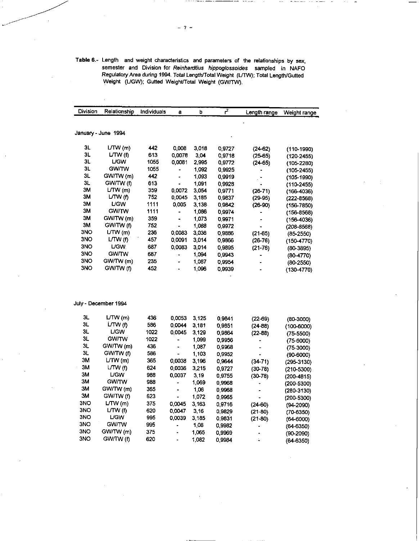| Table 6.- Length and weight characteristics and parameters of the relationships by sex, |
|-----------------------------------------------------------------------------------------|
| semester and Division for Reinhardtius hippoglossoides sampled in NAFO                  |
| Regulatory Area during 1994. Total Length/Total Weight (L/TW); Total Length/Gutted      |
| Weight (L/GW); Gutted Weight/Total Weight (GW/TW),                                      |

| Division | Relationship         | Individuals | a                     | b       | $\overline{r^2}$ | Length range   | Weight range   |
|----------|----------------------|-------------|-----------------------|---------|------------------|----------------|----------------|
|          |                      |             |                       |         |                  |                |                |
|          | January - June 1994  |             |                       |         |                  |                |                |
| 3L       | LTW(m)               | 442         | 0,008                 | 3.018   | 0.9727           | $(24-62)$      | $(110-1990)$   |
| 3L       | L/TW (f)             | 613         | 0,0078                | 3,04    | 0.9718           | $(25-65)$      | $(120 - 2455)$ |
| 3L       | <b>L/GW</b>          | 1055        | 0,0081                | 2.995   | 09772            | $(24-65)$      | $(105 - 2280)$ |
| 3L       | <b>GW/TW</b>         | 1055        |                       | 1,092   | 0.9925           |                | $(105-2455)$   |
| 3L       | GW/TW (m)            | 442         |                       | 1.093   | 0.9919           | $\blacksquare$ | $(105 - 1990)$ |
| 3L       | GW/TW (f)            | 613         | ۰                     | 1,091   | 0.9928           | $\bullet$      | $(110-2455)$   |
| зм       | LTW(m)               | 359         | 0,0072                | 3.054   | 0,9771           | $(26-71)$      | $(166 - 4036)$ |
| ЗM       | LTW(f)               | 752         | 0.0045                | 3,185   | 0.9837           | $(29-95)$      | $(222 - 8568)$ |
| 3M       | <b>UGW</b>           | 1111        | 0,005                 | 3.138   | 09842            | $(26-90)$      | $(156 - 7850)$ |
| ЗM       | <b>GW/TW</b>         | 1111        |                       | 1 0 8 6 | 0.9974           |                | $(156 - 8568)$ |
| 3M       | GW/TW (m)            | 359         | $\blacksquare$        | 1.073   | 0,9971           |                | $(156 - 4036)$ |
| 3M       | GW/TW (f)            | 752         | $\blacksquare$        | 1,088   | 0.9972           |                | $(208 - 8568)$ |
| 3NO      | L(TW(m))             | 236         | 0.0083                | 3,036   | 0,9886           | $(21-65)$      | $(85-2550)$    |
| 3NO      | L T W(f)             | 457         | 0,0091                | 3.014   | 09866            | $(26-76)$      | $(150-4770)$   |
| 3NO      | L/GW.                | 687         | 0.0083                | 3014    | 0.9895           | $(21-76)$      | $(80-3895)$    |
| 3NO      | <b>GW/TW</b>         | 687         |                       | 1.094   | 0.9943           | ۰              | $(80-4770)$    |
| 3NO      | GW/TW (m)            | 235         | $\blacksquare$        | 1.087   | 0 9 9 5 4        |                | $(80-2550)$    |
| 3NO      | GW/TW (f)            | 452         | $\tilde{\phantom{a}}$ | 1.096   | 0.9939           | $\overline{a}$ | $(130 - 4770)$ |
|          |                      |             |                       |         |                  |                |                |
|          | July - December 1994 |             |                       |         |                  |                |                |
| 3L       | LTW(m)               | 436         | 0,0053                | 3,125   | 0.9841           | $(22-69)$      | $(80-3000)$    |
| 3L       | L/TW (f)             | 586         | 0,0044                | 3.181   | 0.9851           | $(24 - 88)$    | $(100 - 6000)$ |
| 3L       | <b>UGW</b>           | 1022        | 0,0045                | 3,129   | 0,9864           | $(22 - 88)$    | $(75 - 5500)$  |
| 3L       | <b>GW/TW</b>         | 1022        | ٠                     | 1.099   | N 9956           |                | 175.6000)      |

 $\mathcal{L}^{\text{max}}_{\text{max}}$  and  $\mathcal{L}^{\text{max}}_{\text{max}}$  and  $\mathcal{L}^{\text{max}}_{\text{max}}$ 

 $\label{eq:2.1} \mathcal{L}(\mathcal{A}) = \mathcal{L}(\mathcal{A}) \mathcal{L}(\mathcal{A}) = \mathcal{L}(\mathcal{A})$ 

 $-7 -$ 

 $\mathcal{L}^{\text{max}}_{\text{max}}$ 

|     |              |      | - - - - - | - - - |        | , 22. 00,   | lan anno)      |
|-----|--------------|------|-----------|-------|--------|-------------|----------------|
| 3L  | L/TW (f)     | 586  | 0.0044    | 3.181 | 0.9851 | $(24 - 88)$ | $(100 - 6000)$ |
| 3L  | <b>L/GW</b>  | 1022 | 0.0045    | 3.129 | 0.9864 | $(22 - 88)$ | $(75 - 5500)$  |
| 3L  | <b>GW/TW</b> | 1022 |           | 1.099 | 0.9956 |             | (75-6000)      |
| 3L  | GW/TW (m)    | 436  |           | 1.087 | 0.9968 |             | $(75-3000)$    |
| 3L  | GW/TW (f)    | 586  | ۰         | 1.103 | 0,9952 |             | $(90 - 6000)$  |
| 3M  | LTW(m)       | 365  | 0,0038    | 3.196 | 0.9644 | $(34 - 71)$ | $(295 - 3130)$ |
| зм  | LTW(1)       | 624  | 0,0036    | 3.215 | 0.9727 | $(30-78)$   | $(210 - 5300)$ |
| ЗM  | <b>L/GW</b>  | 988  | 0.0037    | 3.19  | 0.9755 | $(30-78)$   | (200-4815)     |
| 3М  | <b>GW/TW</b> | 988  |           | 1,069 | 0,9968 |             | (200-5300)     |
| 3M  | GW/TW (m)    | 365  |           | 1.06  | 0.9968 |             | $(280-3130)$   |
| 3M  | GW/TW (f)    | 623  |           | 1,072 | 0.9965 |             | (200-5300)     |
| 3NO | LTW(m)       | 375  | 0.0045    | 3.163 | 0.9716 | $(24-60)$   | $(94 - 2090)$  |
| 3NO | LTW(f)       | 620  | 0.0047    | 3.16  | 0,9829 | $(21-80)$   | $(70-6350)$    |
| 3NO | <b>L/GW</b>  | 995  | 0,0039    | 3,185 | 0.9831 | $(21-80)$   | $(64-6000)$    |
| 3NO | <b>GW/TW</b> | 995  |           | 1.08  | 0.9982 |             | (64-6350)      |
| 3NO | GW/TW (m)    | 375  |           | 1,065 | 0.9969 |             | (90-2090)      |
| 3NO | GW/TW (f)    | 620  |           | 1,082 | 0.9984 |             | (64-6350)      |
|     |              |      |           |       |        |             |                |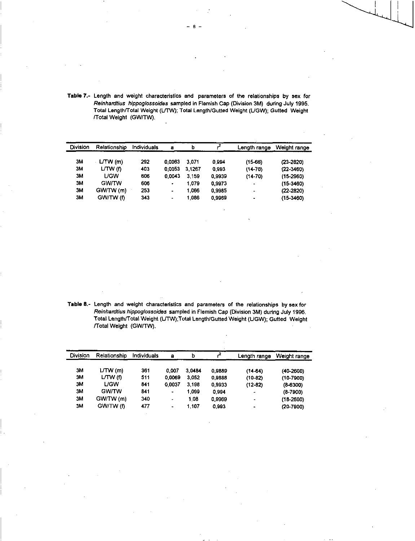| Table 7.- Length and weight characteristics and parameters of the relationships by sex for |
|--------------------------------------------------------------------------------------------|
| Reinhardtius hippoglossoides sampled in Flemish Cap (Division 3M) during July 1995.        |
| Total Length/Total Weight (L/TW); Total Length/Gutted Weight (L/GW); Gutted Weight         |
| /Total Weight (GW/TW).                                                                     |

| Division  | Relationship | Individuals | а      | b      |        | Length range             | Weight range  |
|-----------|--------------|-------------|--------|--------|--------|--------------------------|---------------|
| 3M        | LTW(m)       | 292         | 0.0063 | 3.071  | 0994   | $(15-66)$                | $(23 - 2820)$ |
| 3M        | L/TW (f)     | 403         | 0.0053 | 3.1267 | 0993   | $(14 - 70)$              | $(22 - 3460)$ |
| <b>3M</b> | LGW          | 606         | 0.0043 | 3.159  | 0.9939 | $(14-70)$                | $(15-2960)$   |
| 3M        | <b>GW/TW</b> | 606         | ۰      | 1.079  | 0.9973 | -                        | $(15 - 3460)$ |
| ЗM        | GW/TW (m)    | 253         |        | 1.066  | 0,9985 | $\overline{\phantom{0}}$ | $(22 - 2820)$ |
| 3M        | GW/TW (f)    | 343         | -      | 1.086  | 0.9969 | ٠                        | $(15-3460)$   |

**Table 8.-** Length and weight characteristics and parameters of the relationships by sex for *Reinhardtius hippoglossoides* sampled in Flemish Cap (Division 3M) during July 1996. Total Length/Total Weight (LJTVV);Total Length/Gutted Weight (UGW); Gutted Weight /Total Weight (GW/TW).

| Division | Relationship | Individuals | а      | b      |        | Length range   | Weight range  |
|----------|--------------|-------------|--------|--------|--------|----------------|---------------|
| 3M       | LTW(m)       | 361         | 0.007  | 3.0484 | 0.9889 | $(14-64)$      | $(40-2600)$   |
| ЗΜ       | L T W(f)     | 511         | 0.0069 | 3.052  | 0.9888 | $(10-82)$      | $(10-7900)$   |
| ЗM       | LGW          | 841         | 0.0037 | 3.198  | 0,9933 | $(12-82)$      | $(8-6300)$    |
| ЗM       | <b>GW/TW</b> | 841         | ٠      | 1.099  | 0.994  | $\overline{a}$ | $(8-7900)$    |
| ЗM       | GW/TW (m)    | 340         | ۰      | 1.08   | 0.9969 | -              | $(18-2600)$   |
| ЗΜ       | GW/TW (f)    | 477         | ٠      | 1.107  | 0993   |                | $(20 - 7900)$ |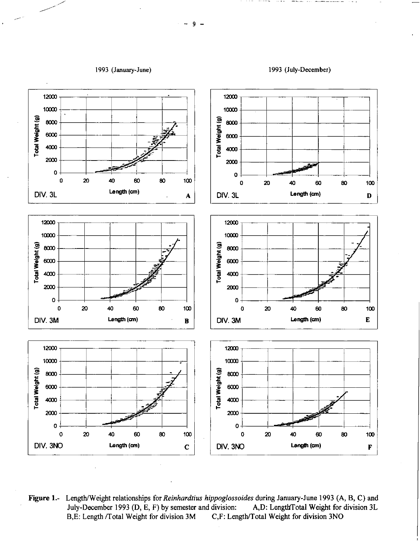





Length/Weight relationships for Reinhardtius hippoglossoides during January-June 1993 (A, B, C) and **Figure 1.-**A,D: LengthTotal Weight for division 3L July-December 1993 (D, E, F) by semester and division: B,E: Length /Total Weight for division 3M C,F: Length/Total Weight for division 3NO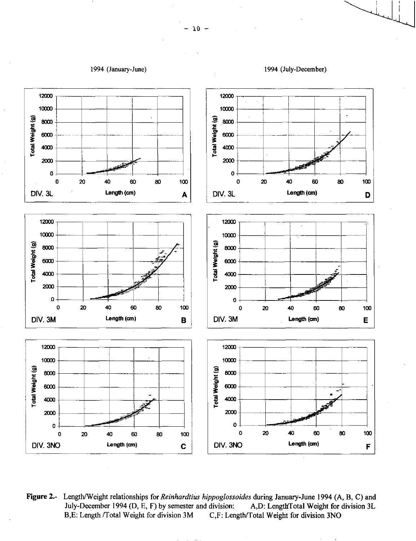

Figure 2.- Length/Weight relationships for Reinhardtius hippoglossoides during January-June 1994 (A, B, C) and July-December 1994 (D, E, F) by semester and division: A,D: LengthTotal Weight for division 3L B,E: Length /Total Weight for division 3M C,F: Length/Total Weight for division 3NO

1994 (July-December)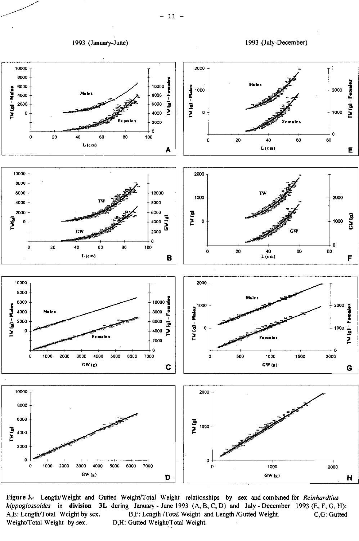1993 (January-June) 1993 (July-December)



Figure 3.- Length/Weight and Gutted Weight/Total Weight relationships by sex and combined for *Reinhardtius hippoglossoides* in **division 3L** during January - June 1993 (A, B, C, D) and July - December 1993 (E, F, G, H):<br>A,E: Length/Total Weight by sex. B,F: Length /Total Weight and Length /Gutted Weight. C,G: Gutted A,E: Length/Total Weight by sex. B,F: Length /Total Weight and Length /Gutted Weight.<br>Weight/Total Weight by sex. D,H: Gutted Weight/Total Weight. D,H: Gutted Weight/Total Weight.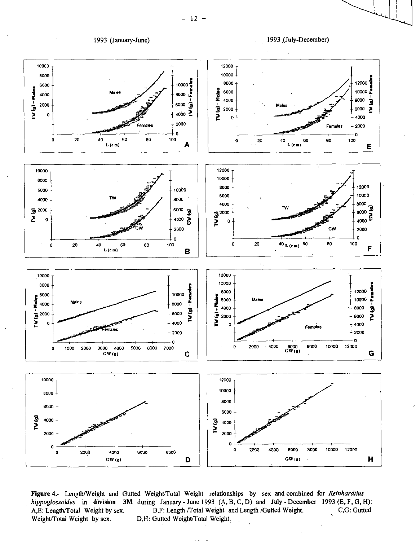1993 (January-June)





Figure 4.- Length/Weight and Gutted Weight/Total Weight relationships by sex and combined for Reinhardtius hippoglossoides in division 3M during January-June 1993 (A, B, C, D) and July-December 1993 (E, F, G, H): B,F: Length /Total Weight and Length /Gutted Weight. C,G: Gutted A,E: Length/Total Weight by sex. Weight/Total Weight by sex. D,H: Gutted Weight/Total Weight.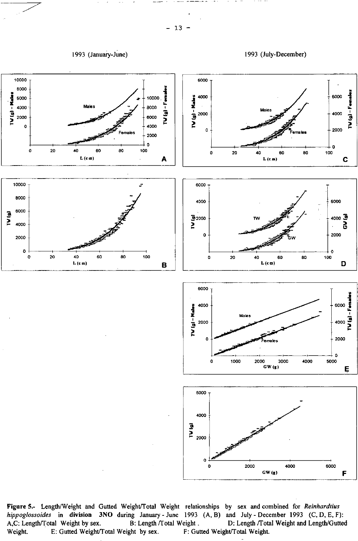1993 (January-June) 1993 (July-December)



Figure 5.- Length/Weight and Gutted Weight/Total Weight relationships by sex and combined for *Reinhardtius hippoglossoides* in division 3NO during January - June 1993 (A, B) and July - December 1993 (C, D, E, F):<br>A,C: Length/Total Weight by sex. B: Length/Total Weight. D: Length/Total Weight and Length/Gutte eight . D: Length /Total Weight and Length/Gutted F: Gutted Weight/Total Weight. Weight. E: Gutted Weight/Total Weight by sex.

 $-13 -$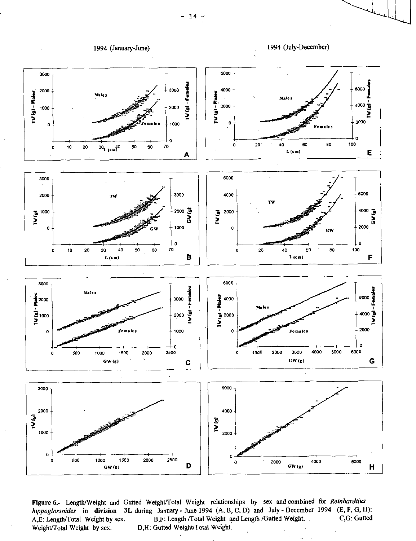



Figure 6.- Length/Weight and Gutted Weight/Total Weight relationships by sex and combined for *Reinhardtius hippoglossoides* in **division 3L** during January - June 1994 (A, B, C, D) and July - December 1994 (E, F, G, H):<br>A.E: Length/Total Weight by sex. B.F: Length /Total Weight and Length /Gutted Weight. C,G: Gutted A,E: Length/Total Weight by sex. B,F: Length /Total Weight and Length /Gutted Weight. Weight/Total Weight by sex. D,H: Gutted Weight/Total Weight.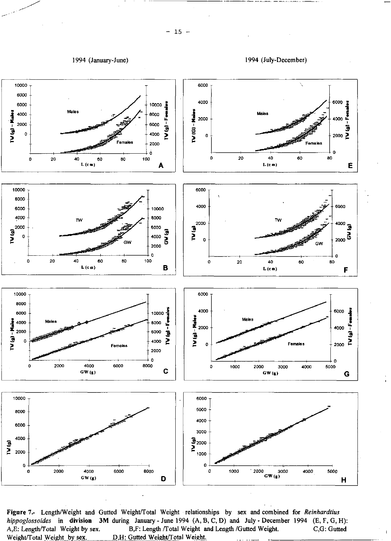

Figure 7.- Length/Weight and Gutted Weight/Total Weight relationships by sex and combined for *Reinhardtius hippoglossoides* in division 3M during January - June 1994 (A, B, C, D) and July - December 1994 (E, F, G, H): A,E: Length/Total Weight by sex. B,F: Length /Total Weight and Length /Gutted Weight. C,G: Gutted Weight/Total Weight and Length /Gutted Weight. C,G: Gutted Weight. D,H: Gutted Weight/Total Weight.

4000 3000 • •  $\Xi_{2000}$ 1000 0

È

0 1000 *2000 3000 4000 5000* 

GW **(g)** <sup>H</sup>

0 2000 4000 6000 8000

8000 6000 4000

 $0 +$ 

io)<br>N 2000 -

GW **(g)** D

 $-15 -$ 

▪

1994 (January-June) 1994 (July-December)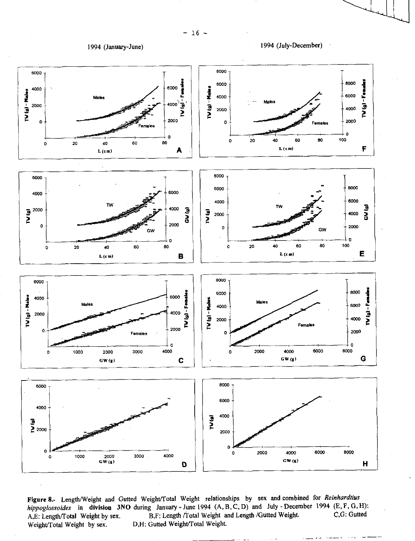



Figure 8.- Length/Weight and Gutted Weight/Total Weight relationships by sex and combined for *Reinhardtius hippoglossoides* in division 3NO during January - June 1994 (A, B, C, D) and July - December 1994 (E, F, G, H):<br>A,E: Length/Total Weight by sex. B,F: Length /Total Weight and Length /Gutted Weight. C,G: Gutted B,F: Length /Total Weight and Length /Gutted Weight. Weight/Total Weight by sex. D,H: Gutted Weight/Total Weight.

 $-16 -$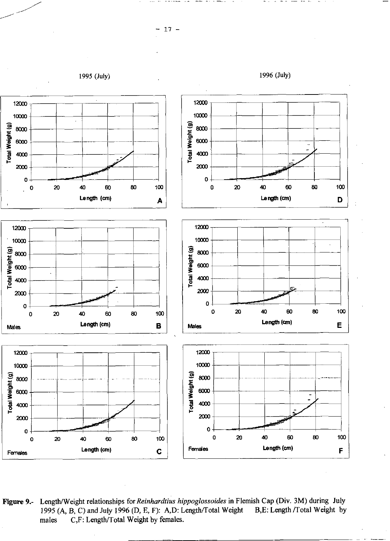

Length/Weight relationships for Reinhardtius hippoglossoides in Flemish Cap (Div. 3M) during July Figure 9.-1995 (A, B, C) and July 1996 (D, E, F): A, D: Length/Total Weight B,E: Length /Total Weight by C,F: Length/Total Weight by females. males

 $17 -$